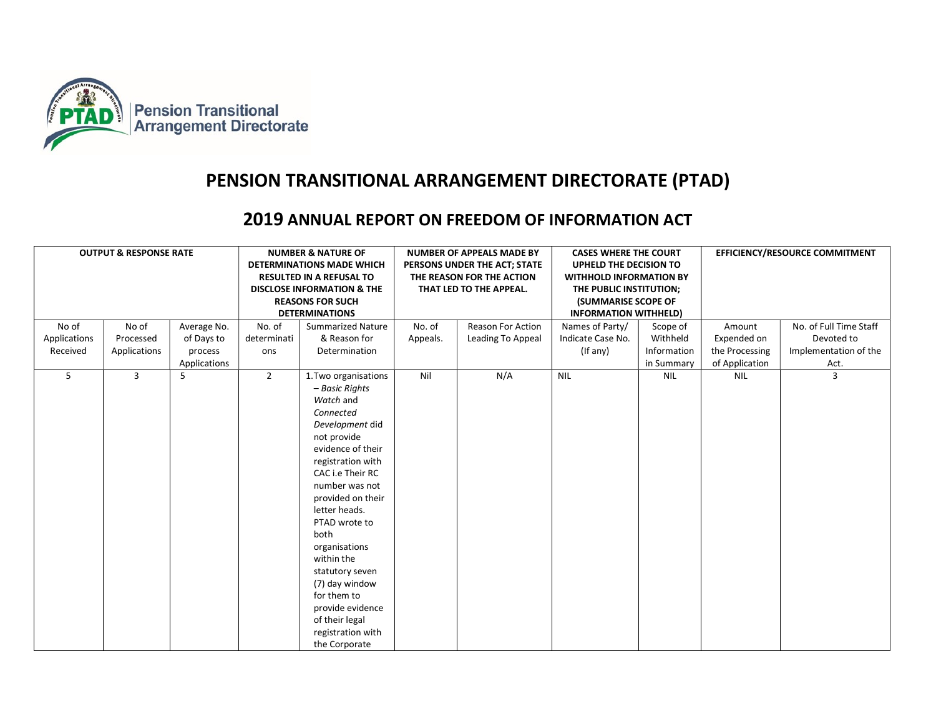

## PENSION TRANSITIONAL ARRANGEMENT DIRECTORATE (PTAD)

## 2019 ANNUAL REPORT ON FREEDOM OF INFORMATION ACT

| <b>OUTPUT &amp; RESPONSE RATE</b> |              |                   | <b>NUMBER &amp; NATURE OF</b><br><b>DETERMINATIONS MADE WHICH</b><br><b>RESULTED IN A REFUSAL TO</b><br><b>DISCLOSE INFORMATION &amp; THE</b><br><b>REASONS FOR SUCH</b><br><b>DETERMINATIONS</b> |                                                                                                                                                                                                                                                                                                                                                                                          | <b>NUMBER OF APPEALS MADE BY</b><br>PERSONS UNDER THE ACT; STATE<br>THE REASON FOR THE ACTION<br>THAT LED TO THE APPEAL. |                   | <b>CASES WHERE THE COURT</b><br>UPHELD THE DECISION TO<br><b>WITHHOLD INFORMATION BY</b><br>THE PUBLIC INSTITUTION;<br><b>(SUMMARISE SCOPE OF</b><br><b>INFORMATION WITHHELD)</b> |                          | EFFICIENCY/RESOURCE COMMITMENT |                        |
|-----------------------------------|--------------|-------------------|---------------------------------------------------------------------------------------------------------------------------------------------------------------------------------------------------|------------------------------------------------------------------------------------------------------------------------------------------------------------------------------------------------------------------------------------------------------------------------------------------------------------------------------------------------------------------------------------------|--------------------------------------------------------------------------------------------------------------------------|-------------------|-----------------------------------------------------------------------------------------------------------------------------------------------------------------------------------|--------------------------|--------------------------------|------------------------|
| No of                             | No of        | Average No.       | No. of                                                                                                                                                                                            | <b>Summarized Nature</b>                                                                                                                                                                                                                                                                                                                                                                 | No. of                                                                                                                   | Reason For Action | Names of Party/                                                                                                                                                                   | Scope of                 | Amount                         | No. of Full Time Staff |
| Applications                      | Processed    | of Days to        | determinati                                                                                                                                                                                       | & Reason for                                                                                                                                                                                                                                                                                                                                                                             | Appeals.                                                                                                                 | Leading To Appeal | Indicate Case No.                                                                                                                                                                 | Withheld                 | Expended on                    | Devoted to             |
| Received                          | Applications | process           | ons                                                                                                                                                                                               | Determination                                                                                                                                                                                                                                                                                                                                                                            |                                                                                                                          |                   | (If any)                                                                                                                                                                          | Information              | the Processing                 | Implementation of the  |
| 5                                 | 3            | Applications<br>5 | $\overline{2}$                                                                                                                                                                                    | 1. Two organisations                                                                                                                                                                                                                                                                                                                                                                     | Nil                                                                                                                      | N/A               | <b>NIL</b>                                                                                                                                                                        | in Summary<br><b>NIL</b> | of Application<br><b>NIL</b>   | Act.<br>3              |
|                                   |              |                   |                                                                                                                                                                                                   | - Basic Rights<br>Watch and<br>Connected<br>Development did<br>not provide<br>evidence of their<br>registration with<br>CAC i.e Their RC<br>number was not<br>provided on their<br>letter heads.<br>PTAD wrote to<br>both<br>organisations<br>within the<br>statutory seven<br>(7) day window<br>for them to<br>provide evidence<br>of their legal<br>registration with<br>the Corporate |                                                                                                                          |                   |                                                                                                                                                                                   |                          |                                |                        |